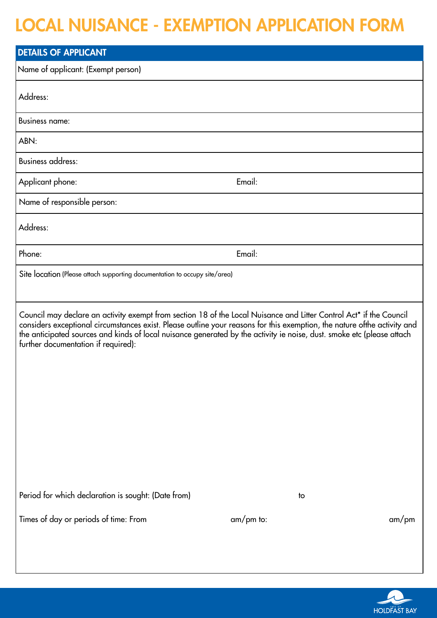## LOCAL NUISANCE - EXEMPTION APPLICATION FORM

| <b>DETAILS OF APPLICANT</b>                                                                                                                                                                                                                                                                                                                                                                                      |                            |  |  |
|------------------------------------------------------------------------------------------------------------------------------------------------------------------------------------------------------------------------------------------------------------------------------------------------------------------------------------------------------------------------------------------------------------------|----------------------------|--|--|
| Name of applicant: (Exempt person)                                                                                                                                                                                                                                                                                                                                                                               |                            |  |  |
| Address:                                                                                                                                                                                                                                                                                                                                                                                                         |                            |  |  |
| <b>Business name:</b>                                                                                                                                                                                                                                                                                                                                                                                            |                            |  |  |
| ABN:                                                                                                                                                                                                                                                                                                                                                                                                             |                            |  |  |
| <b>Business address:</b>                                                                                                                                                                                                                                                                                                                                                                                         |                            |  |  |
| Applicant phone:                                                                                                                                                                                                                                                                                                                                                                                                 | Email:                     |  |  |
| Name of responsible person:                                                                                                                                                                                                                                                                                                                                                                                      |                            |  |  |
| Address:                                                                                                                                                                                                                                                                                                                                                                                                         |                            |  |  |
| Phone:                                                                                                                                                                                                                                                                                                                                                                                                           | Email:                     |  |  |
| Site location (Please attach supporting documentation to occupy site/area)                                                                                                                                                                                                                                                                                                                                       |                            |  |  |
| Council may declare an activity exempt from section 18 of the Local Nuisance and Litter Control Act* if the Council<br>considers exceptional circumstances exist. Please outline your reasons for this exemption, the nature ofthe activity and<br>the anticipated sources and kinds of local nuisance generated by the activity ie noise, dust. smoke etc (please attach<br>further documentation if required): |                            |  |  |
| Period for which declaration is sought: (Date from)<br>Times of day or periods of time: From                                                                                                                                                                                                                                                                                                                     | to<br>$am/pm$ to:<br>am/pm |  |  |

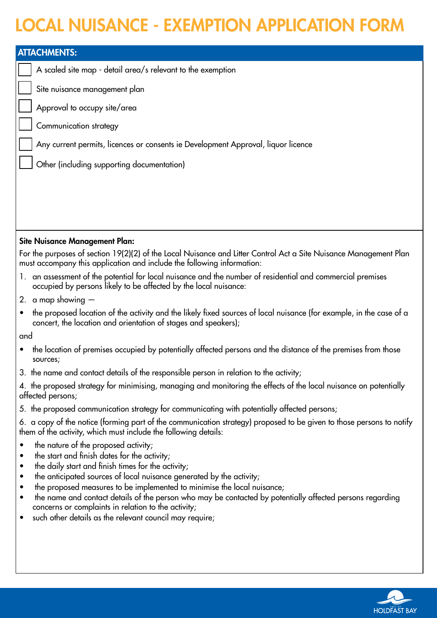## LOCAL NUISANCE - EXEMPTION APPLICATION FORM

| <b>ATTACHMENTS:</b>                                                                                                                                                                         |                                                                                                                                                                                                                                                                                                                                                                                                                                                                                                                              |  |
|---------------------------------------------------------------------------------------------------------------------------------------------------------------------------------------------|------------------------------------------------------------------------------------------------------------------------------------------------------------------------------------------------------------------------------------------------------------------------------------------------------------------------------------------------------------------------------------------------------------------------------------------------------------------------------------------------------------------------------|--|
|                                                                                                                                                                                             | A scaled site map - detail area/s relevant to the exemption                                                                                                                                                                                                                                                                                                                                                                                                                                                                  |  |
|                                                                                                                                                                                             | Site nuisance management plan                                                                                                                                                                                                                                                                                                                                                                                                                                                                                                |  |
|                                                                                                                                                                                             | Approval to occupy site/area                                                                                                                                                                                                                                                                                                                                                                                                                                                                                                 |  |
|                                                                                                                                                                                             | Communication strategy                                                                                                                                                                                                                                                                                                                                                                                                                                                                                                       |  |
|                                                                                                                                                                                             | Any current permits, licences or consents ie Development Approval, liquor licence                                                                                                                                                                                                                                                                                                                                                                                                                                            |  |
|                                                                                                                                                                                             | Other (including supporting documentation)                                                                                                                                                                                                                                                                                                                                                                                                                                                                                   |  |
|                                                                                                                                                                                             |                                                                                                                                                                                                                                                                                                                                                                                                                                                                                                                              |  |
|                                                                                                                                                                                             |                                                                                                                                                                                                                                                                                                                                                                                                                                                                                                                              |  |
|                                                                                                                                                                                             |                                                                                                                                                                                                                                                                                                                                                                                                                                                                                                                              |  |
|                                                                                                                                                                                             |                                                                                                                                                                                                                                                                                                                                                                                                                                                                                                                              |  |
| <b>Site Nuisance Management Plan:</b>                                                                                                                                                       |                                                                                                                                                                                                                                                                                                                                                                                                                                                                                                                              |  |
| For the purposes of section 19(2)(2) of the Local Nuisance and Litter Control Act a Site Nuisance Management Plan<br>must accompany this application and include the following information: |                                                                                                                                                                                                                                                                                                                                                                                                                                                                                                                              |  |
|                                                                                                                                                                                             | 1. an assessment of the potential for local nuisance and the number of residential and commercial premises<br>occupied by persons likely to be affected by the local nuisance:                                                                                                                                                                                                                                                                                                                                               |  |
|                                                                                                                                                                                             | 2. a map showing $-$                                                                                                                                                                                                                                                                                                                                                                                                                                                                                                         |  |
| $\bullet$                                                                                                                                                                                   | the proposed location of the activity and the likely fixed sources of local nuisance (for example, in the case of a<br>concert, the location and orientation of stages and speakers);                                                                                                                                                                                                                                                                                                                                        |  |
| and                                                                                                                                                                                         |                                                                                                                                                                                                                                                                                                                                                                                                                                                                                                                              |  |
|                                                                                                                                                                                             | the location of premises occupied by potentially affected persons and the distance of the premises from those<br>sources;                                                                                                                                                                                                                                                                                                                                                                                                    |  |
|                                                                                                                                                                                             | 3. the name and contact details of the responsible person in relation to the activity;                                                                                                                                                                                                                                                                                                                                                                                                                                       |  |
|                                                                                                                                                                                             | 4. the proposed strategy for minimising, managing and monitoring the effects of the local nuisance on potentially<br>affected persons;                                                                                                                                                                                                                                                                                                                                                                                       |  |
|                                                                                                                                                                                             | 5. the proposed communication strategy for communicating with potentially affected persons;                                                                                                                                                                                                                                                                                                                                                                                                                                  |  |
|                                                                                                                                                                                             | 6. a copy of the notice (forming part of the communication strategy) proposed to be given to those persons to notify<br>them of the activity, which must include the following details:                                                                                                                                                                                                                                                                                                                                      |  |
| $\bullet$<br>٠<br>٠<br>٠<br>٠                                                                                                                                                               | the nature of the proposed activity;<br>the start and finish dates for the activity;<br>the daily start and finish times for the activity;<br>the anticipated sources of local nuisance generated by the activity;<br>the proposed measures to be implemented to minimise the local nuisance;<br>the name and contact details of the person who may be contacted by potentially affected persons regarding<br>concerns or complaints in relation to the activity;<br>such other details as the relevant council may require; |  |